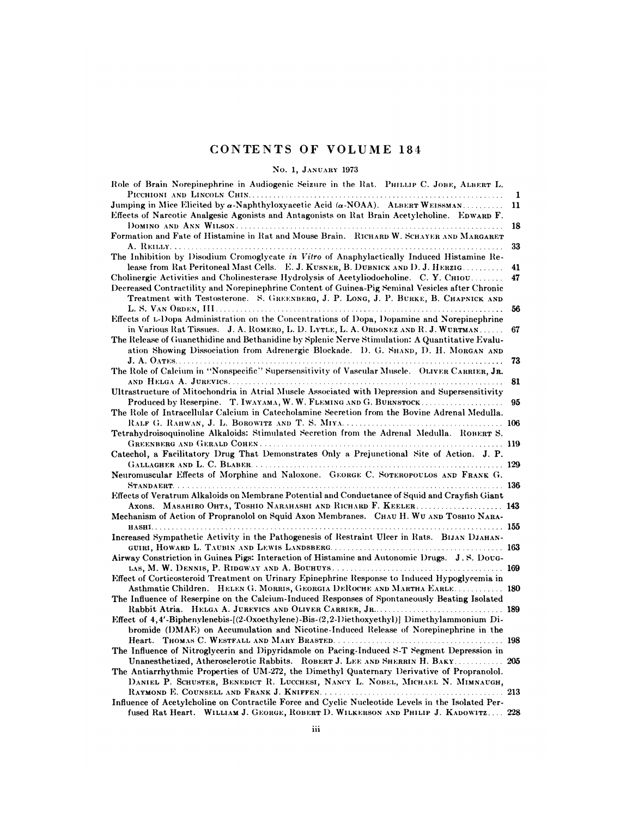# CONTENTS OF VOLUME 184<br>No. 1, JANUARY 1973

| CONTENTS OF VOLUME 184                                                                                                                                                                                                                                                           |         |
|----------------------------------------------------------------------------------------------------------------------------------------------------------------------------------------------------------------------------------------------------------------------------------|---------|
| No. 1, JANUARY 1973                                                                                                                                                                                                                                                              |         |
| Role of Brain Norepinephrine in Audiogenic Seizure in the Rat. PHILLIP C. JOBE, ALBERT L.                                                                                                                                                                                        |         |
| Jumping in Mice Elicited by $\alpha$ -Naphthyloxyacetic Acid ( $\alpha$ -NOAA). ALBERT WEISSMAN                                                                                                                                                                                  | 1<br>11 |
| Effects of Narcotic Analgesic Agonists and Antagonists on Rat Brain Acetylcholine. EDWARD F.                                                                                                                                                                                     | 18      |
| Formation and Fate of Histamine in Rat and Mouse Brain. RICHARD W. SCHAYER AND MARGARET                                                                                                                                                                                          | 33      |
| The Inhibition by Disodium Cromoglycate in Vitro of Anaphylactically Induced Histamine Re-<br>lease from Rat Peritoneal Mast Cells. E. J. KUSNER, B. DUBNICK AND D. J. HERZIG                                                                                                    | 41      |
| Cholinergic Activities and Cholinesterase Hydrolysis of Acetyliodocholine. C. Y. CHIOU<br>Decreased Contractility and Norepinephrine Content of Guinea-Pig Seminal Vesicles after Chronic<br>Treatment with Testosterone. S. GREENBERG, J. P. LONG, J. P. BURKE, B. CHAPNICK AND | 47      |
|                                                                                                                                                                                                                                                                                  | 56      |
| Effects of L-Dopa Administration on the Concentrations of Dopa, Dopamine and Norepinephrine<br>in Various Rat Tissues. J. A. ROMERO, L. D. LYTLE, L. A. ORDONEZ AND R. J. WURTMAN                                                                                                | 67      |
| The Release of Guanethidine and Bethanidine by Splenic Nerve Stimulation: A Quantitative Evalu-<br>ation Showing Dissociation from Adrenergic Blockade. D. G. SHAND, D. H. MORGAN AND                                                                                            | 73      |
| The Role of Calcium in "Nonspecific" Supersensitivity of Vascular Muscle. OLIVER CARRIER, JR.                                                                                                                                                                                    |         |
| Ultrastructure of Mitochondria in Atrial Muscle Associated with Depression and Supersensitivity                                                                                                                                                                                  | 81      |
| Produced by Reserpine. T. IWAYAMA, W. W. FLEMING AND G. BURNSTOCK<br>The Role of Intracellular Calcium in Catecholamine Secretion from the Bovine Adrenal Medulla.                                                                                                               | 95      |
| Tetrahydroisoquinoline Alkaloids: Stimulated Secretion from the Adrenal Medulla. ROBERT S.                                                                                                                                                                                       |         |
|                                                                                                                                                                                                                                                                                  |         |
| Catechol, a Facilitatory Drug That Demonstrates Only a Prejunctional Site of Action. J. P.                                                                                                                                                                                       |         |
| Neuromuscular Effects of Morphine and Naloxone. GEORGE C. SOTEROPOULOS AND FRANK G.                                                                                                                                                                                              |         |
|                                                                                                                                                                                                                                                                                  |         |
| Effects of Veratrum Alkaloids on Membrane Potential and Conductance of Squid and Crayfish Giant<br>Axons. MASAHIRO OHTA, TOSHIO NARAHASHI AND RICHARD F. KEELER 143                                                                                                              |         |
| Mechanism of Action of Propranolol on Squid Axon Membranes. CHAU H. WU AND TOSHIO NARA-                                                                                                                                                                                          |         |
| Increased Sympathetic Activity in the Pathogenesis of Restraint Ulcer in Rats. BIJAN DJAHAN-                                                                                                                                                                                     |         |
| Airway Constriction in Guinea Pigs: Interaction of Histamine and Autonomic Drugs. J.S. Dovo-                                                                                                                                                                                     |         |
| Effect of Corticosteroid Treatment on Urinary Epinephrine Response to Induced Hypoglycemia in                                                                                                                                                                                    |         |
| Asthmatic Children. HELEN G. MORRIS, GEORGIA DEROCHE AND MARTHA EARLE 180<br>The Influence of Reserpine on the Calcium-Induced Responses of Spontaneously Beating Isolated                                                                                                       |         |
| Effect of 4,4'-Biphenylenebis-[(2-Oxoethylene)-Bis-(2,2-1)iethoxyethyl)] Dimethylammonium Di-<br>bromide (DMAE) on Accumulation and Nicotine-Induced Release of Norepinephrine in the                                                                                            |         |
| The Influence of Nitroglycerin and Dipyridamole on Pacing-Induced S-T Segment Depression in                                                                                                                                                                                      |         |
| Unanesthetized, Atherosclerotic Rabbits. ROBERT J. LEE AND SHERRIN H. BAKY 205<br>The Antiarrhythmic Properties of UM-272, the Dimethyl Quaternary Derivative of Propranolol.<br>DANIEL P. SCHUSTER, BENEDICT R. LUCCHESI, NANCY L. NOBEL, MICHAEL N. MIMNAUGH,                  |         |
| $\ldots$ 213<br>Influence of Acetylcholine on Contractile Force and Cyclic Nucleotide Levels in the Isolated Per-                                                                                                                                                                |         |
| fused Rat Heart. WILLIAM J. GEORGE, ROBERT D. WILKERSON AND PHILIP J. KADOWITZ 228                                                                                                                                                                                               |         |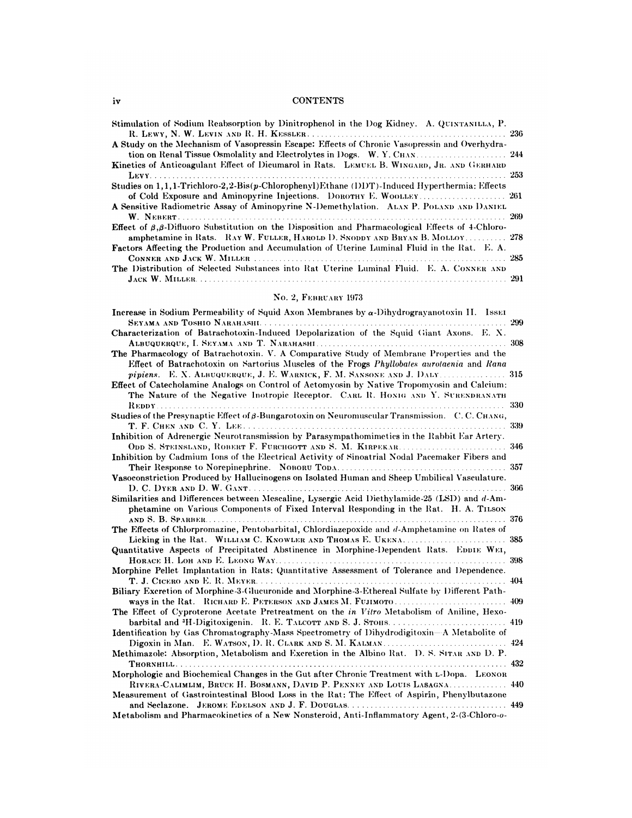## **CONTENTS**

| Stimulation of Sodium Reabsorption by Dinitrophenol in the Dog Kidney. A. QUINTANILLA, P.                                                                                                             |  |
|-------------------------------------------------------------------------------------------------------------------------------------------------------------------------------------------------------|--|
| A Study on the Mechanism of Vasopressin Escape: Effects of Chronic Vasopressin and Overhydra-<br>tion on Renal Tissue Osmolality and Electrolytes in Dogs. W. Y. CHAN.                                |  |
| Kinetics of Anticoagulant Effect of Dicumarol in Rats. LEMUEL B. WINGARD, JR. AND GERHARD                                                                                                             |  |
| Studies on 1, 1, 1-Trichloro-2, 2-Bis(p-Chlorophenyl) Ethane (DDT)-Induced Hyperthermia: Effects                                                                                                      |  |
| A Sensitive Radiometric Assay of Aminopyrine N-Demethylation. ALAN P. POLAND AND DANIEL                                                                                                               |  |
| <b>Effect</b> of $\beta$ , $\beta$ -Diffuoro Substitution on the Disposition and Pharmacological Effects of 4-Chloro-<br>amphetamine in Rats. RAY W. FULLER, HAROLD D. SNODDY AND BRYAN B. MOLLOY 278 |  |
| <b>Factors Affecting the Production and Accumulation of Uterine Luminal Fluid in the Rat. E. A.</b>                                                                                                   |  |
| The Distribution of Selected Substances into Rat Uterine Luminal Fluid. E. A. CONNER AND                                                                                                              |  |

# No. 2, FEBRUARY 1973

| Increase in Sodium Permeability of Squid Axon Membranes by $\alpha$ -Dihydrograyanotoxin II. Issen   |     |
|------------------------------------------------------------------------------------------------------|-----|
|                                                                                                      | 299 |
| Characterization of Batrachotoxin-Induced Depolarization of the Squid Giant Axons. E. X.             |     |
|                                                                                                      |     |
| The Pharmacology of Batrachotoxin. V. A Comparative Study of Membrane Properties and the             |     |
| Effect of Batrachotoxin on Sartorius Muscles of the Frogs Phyllobates aurotaenia and Rana            |     |
| pipiens. E. X. ALBUQUERQUE, J. E. WARNICK, F. M. SANSONE AND J. DALY 315                             |     |
| Effect of Catecholamine Analogs on Control of Actomyosin by Native Tropomyosin and Calcium:          |     |
| The Nature of the Negative Inotropic Receptor. CARL R. HONIG AND Y. SURENDRANATH                     |     |
|                                                                                                      | 330 |
| Studies of the Presynaptic Effect of $\beta$ -Bungarotoxin on Neuromuscular Transmission. C.C.CHANG, |     |
|                                                                                                      | 339 |
| Inhibition of Adrenergic Neurotransmission by Parasympathomimetics in the Rabbit Ear Artery.         |     |
|                                                                                                      |     |
| Inhibition by Cadmium Ions of the Electrical Activity of Sinoatrial Nodal Pacemaker Fibers and       |     |
|                                                                                                      |     |
| Vasoconstriction Produced by Hallucinogens on Isolated Human and Sheep Umbilical Vasculature.        |     |
|                                                                                                      | 366 |
| Similarities and Differences between Mescaline, Lysergic Acid Diethylamide-25 (LSD) and d-Am-        |     |
| phetamine on Various Components of Fixed Interval Responding in the Rat. H. A. TILSON                |     |
|                                                                                                      | 376 |
| The Effects of Chlorpromazine, Pentobarbital, Chlordiazepoxide and d-Amphetamine on Rates of         |     |
|                                                                                                      | 385 |
| Quantitative Aspects of Precipitated Abstinence in Morphine-Dependent Rats. EDDIE WEI,               |     |
|                                                                                                      | 398 |
| Morphine Pellet Implantation in Rats: Quantitative Assessment of Tolerance and Dependence.           |     |
|                                                                                                      | 404 |
| Biliary Excretion of Morphine-3-Glucuronide and Morphine-3-Ethereal Sulfate by Different Path-       |     |
| ways in the Rat. RICHARD E. PETERSON AND JAMES M. FUJIMOTO 409                                       |     |
| The Effect of Cyproterone Acetate Pretreatment on the in Vitro Metabolism of Aniline, Hexo-          |     |
| barbital and $H$ -Digitoxigenin. R. E. TALCOTT AND S. J. STOHS.                                      | 419 |
| Identification by Gas Chromatography-Mass Spectrometry of Dihydrodigitoxin—A Metabolite of           |     |
|                                                                                                      |     |
| Methimazole: Absorption, Metabolism and Excretion in the Albino Rat. D. S. SITAR AND D. P.           |     |
| Thornhill. .                                                                                         | 432 |
| Morphologic and Biochemical Changes in the Gut after Chronic Treatment with L-Dopa. LEONOR           |     |
| RIVERA-CALIMLIM, BRUCE H. BOSMANN, DAVID P. PENNEY AND LOUIS LASAGNA                                 | 440 |
| Measurement of Gastrointestinal Blood Loss in the Rat: The Effect of Aspirin, Phenylbutazone         |     |
|                                                                                                      |     |

Metabolism and Pharmacokinetics of a New Nonsteroid, Anti-Inflammatory Agent, 2-(3-Chloro-0-

 $\mathbf{iv}$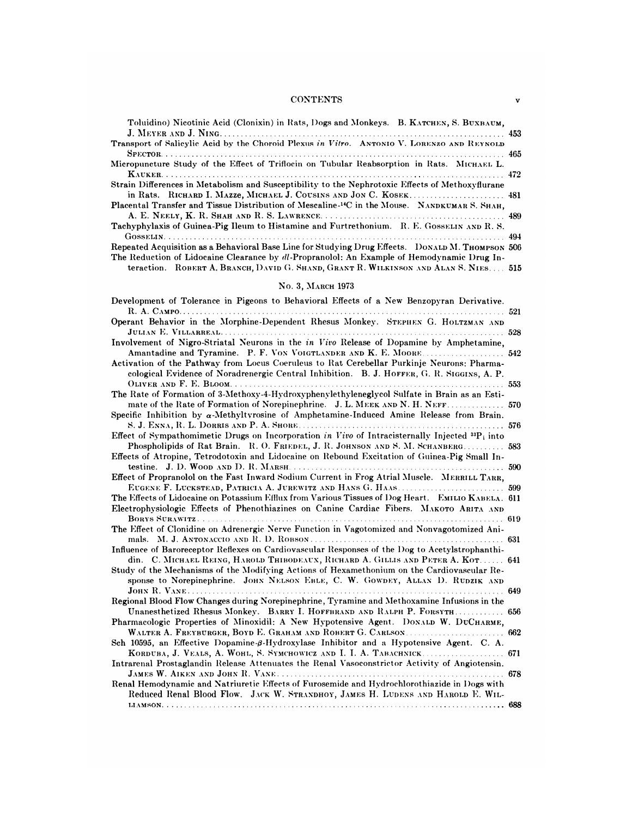## **CONTENTS**

| Toluidino) Nicotinic Acid (Clonixin) in Rats, Dogs and Monkeys. B. KATCHEN, S. BUXBAUM,                                                                                                        |  |
|------------------------------------------------------------------------------------------------------------------------------------------------------------------------------------------------|--|
| Transport of Salicylic Acid by the Choroid Plexus in Vitro. ANTONIO V. LORENZO AND REYNOLD                                                                                                     |  |
| Micropuncture Study of the Effect of Triflocin on Tubular Reabsorption in Rats. MICHAEL L.                                                                                                     |  |
|                                                                                                                                                                                                |  |
| Strain Differences in Metabolism and Susceptibility to the Nephrotoxic Effects of Methoxyflurane                                                                                               |  |
| Placental Transfer and Tissue Distribution of Mescaline- <sup>14</sup> C in the Mouse. NANDKUMAR S. SHAH,                                                                                      |  |
| Tachyphylaxis of Guinea-Pig Ileum to Histamine and Furtrethonium. R. E. GossELIN AND R. S.                                                                                                     |  |
| Repeated Acquisition as a Behavioral Base Line for Studying Drug Effects. DONALD M. THOMPSON 506<br>The Reduction of Lidocaine Clearance by dl-Propranolol: An Example of Hemodynamic Drug In- |  |
| teraction. ROBERT A, BRANCH, DAVID G. SHAND, GRANT R. WILKINSON AND ALAN S. NIES 515                                                                                                           |  |
| No. 3, MARCH 1973                                                                                                                                                                              |  |
| Development of Tolerange in Pignons to Repartized Effects of a New Benzonyrum Depiretive                                                                                                       |  |

| Development of Tolerance in Pigeons to Behavioral Effects of a New Benzopyran Derivative.             |     |
|-------------------------------------------------------------------------------------------------------|-----|
| Operant Behavior in the Morphine-Dependent Rhesus Monkey. STEPHEN G. HOLTZMAN AND                     |     |
|                                                                                                       | 528 |
| Involvement of Nigro-Striatal Neurons in the in Vivo Release of Dopamine by Amphetamine,              |     |
| Amantadine and Tyramine. P. F. VON VOIGTLANDER AND K. E. MOORE 542                                    |     |
| Activation of the Pathway from Locus Coeruleus to Rat Cerebellar Purkinje Neurons: Pharma-            |     |
| cological Evidence of Noradrenergic Central Inhibition. B. J. HOFFER, G. R. SIGGINS, A. P.            |     |
|                                                                                                       | 553 |
| The Rate of Formation of 3-Methoxy-4-Hydroxyphenylethyleneglycol Sulfate in Brain as an Esti-         |     |
| mate of the Rate of Formation of Norepinephrine. J. L. MEEK AND N. H. NEFF 570                        |     |
| Specific Inhibition by $\alpha$ -Methyltyrosine of Amphetamine-Induced Amine Release from Brain.      |     |
|                                                                                                       |     |
| Effect of Sympathomimetic Drugs on Incorporation in Vivo of Intracisternally Injected $^{33}P_i$ into |     |
| Phospholipids of Rat Brain. R. O. FRIEDEL, J. R. JOHNSON AND S. M. SCHANBERG 583                      |     |
| Effects of Atropine, Tetrodotoxin and Lidocaine on Rebound Excitation of Guinea-Pig Small In-         |     |
|                                                                                                       |     |
| Effect of Propranolol on the Fast Inward Sodium Current in Frog Atrial Muscle. MERRILL TARR,          |     |
| EUGENE F. LUCKSTEAD, PATRICIA A. JUREWITZ AND HANS G. HAAS 599                                        |     |
| The Effects of Lidocaine on Potassium Efflux from Various Tissues of Dog Heart. EMILIO KABELA. 611    |     |
| Electrophysiologic Effects of Phenothiazines on Canine Cardiac Fibers. MAKOTO ARITA AND               |     |
|                                                                                                       |     |
| The Effect of Clonidine on Adrenergic Nerve Function in Vagotomized and Nonvagotomized Ani-           |     |
|                                                                                                       |     |
| Influence of Baroreceptor Reflexes on Cardiovascular Responses of the Dog to Acetylstrophanthi-       |     |
| din. C. MICHAEL REING, HAROLD THIBODEAUX, RICHARD A. GILLIS AND PETER A. KOT 641                      |     |
| Study of the Mechanisms of the Modifying Actions of Hexamethonium on the Cardiovascular Re-           |     |
| sponse to Norepinephrine. JOHN NELSON EBLE, C. W. GOWDEY, ALLAN D. RUDZIK AND                         |     |
| JOHN R. VANE                                                                                          |     |
| Regional Blood Flow Changes during Norepinephrine, Tyramine and Methoxamine Infusions in the          |     |
| Unanesthetized Rhesus Monkey. BARRY I. HOFFBRAND AND RALPH P. FORSYTH.                                | 656 |
| Pharmacologic Properties of Minoxidil: A New Hypotensive Agent. DONALD W. DUCHARME,                   |     |
| Sch 10595, an Effective Dopamine- $\beta$ -Hydroxylase Inhibitor and a Hypotensive Agent. C. A.       |     |
| KORDUBA, J. VEALS, A. WOHL, S. SYMCHOWICZ AND I. I. A. TABACHNICK 671                                 |     |
| Intrarenal Prostaglandin Release Attenuates the Renal Vasoconstrictor Activity of Angiotensin.        |     |
| $\ldots$ 678                                                                                          |     |
| Renal Hemodynamic and Natriuretic Effects of Furosemide and Hydrochlorothiazide in Dogs with          |     |
| Reduced Renal Blood Flow. JACK W. STRANDHOY, JAMES H. LUDENS AND HAROLD E. WIL-                       |     |
|                                                                                                       |     |
|                                                                                                       |     |